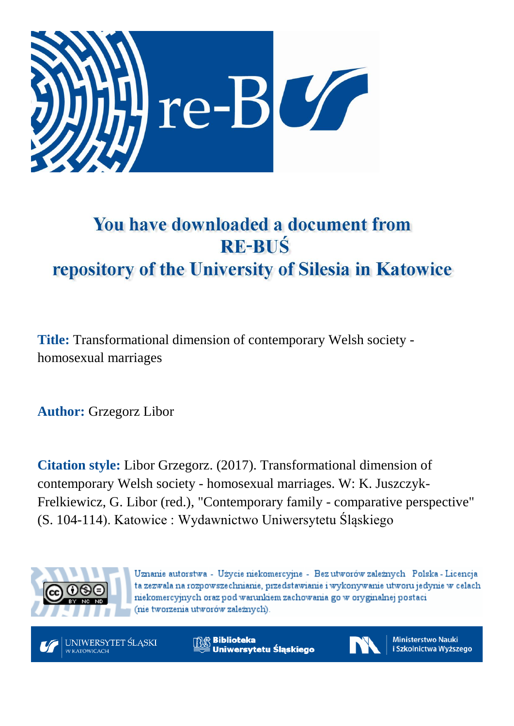

# You have downloaded a document from **RE-BUŚ** repository of the University of Silesia in Katowice

**Title:** Transformational dimension of contemporary Welsh society homosexual marriages

**Author:** Grzegorz Libor

**Citation style:** Libor Grzegorz. (2017). Transformational dimension of contemporary Welsh society - homosexual marriages. W: K. Juszczyk-Frelkiewicz, G. Libor (red.), "Contemporary family - comparative perspective" (S. 104-114). Katowice : Wydawnictwo Uniwersytetu Śląskiego



Uznanie autorstwa - Użycie niekomercyjne - Bez utworów zależnych Polska - Licencja ta zezwala na rozpowszechnianie, przedstawianie i wykonywanie utworu jedynie w celach niekomercyjnych oraz pod warunkiem zachowania go w oryginalnej postaci (nie tworzenia utworów zależnych).



**Biblioteka** Uniwersytetu Śląskiego



**Ministerstwo Nauki** i Szkolnictwa Wyższego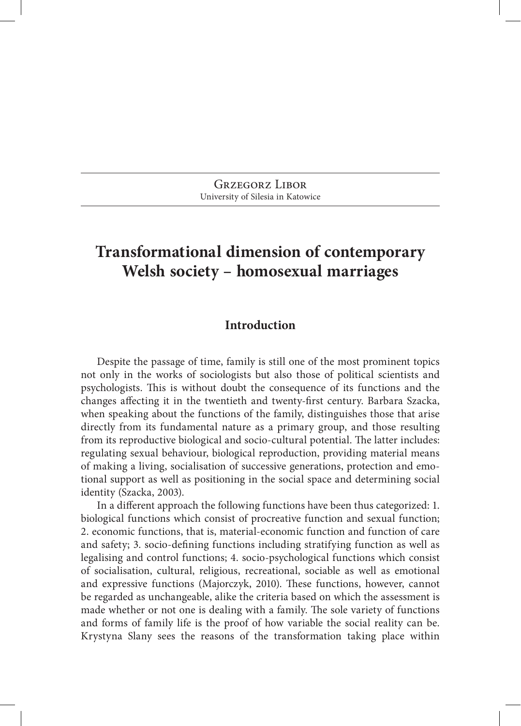Grzegorz Libor University of Silesia in Katowice

# **Transformational dimension of contemporary Welsh society – homosexual marriages**

#### **Introduction**

Despite the passage of time, family is still one of the most prominent topics not only in the works of sociologists but also those of political scientists and psychologists. This is without doubt the consequence of its functions and the changes affecting it in the twentieth and twenty‑first century. Barbara Szacka, when speaking about the functions of the family, distinguishes those that arise directly from its fundamental nature as a primary group, and those resulting from its reproductive biological and socio-cultural potential. The latter includes: regulating sexual behaviour, biological reproduction, providing material means of making a living, socialisation of successive generations, protection and emo‑ tional support as well as positioning in the social space and determining social identity (Szacka, 2003).

In a different approach the following functions have been thus categorized: 1. biological functions which consist of procreative function and sexual function; 2. economic functions, that is, material‑economic function and function of care and safety; 3. socio-defining functions including stratifying function as well as legalising and control functions; 4. socio‑psychological functions which consist of socialisation, cultural, religious, recreational, sociable as well as emotional and expressive functions (Majorczyk, 2010). These functions, however, cannot be regarded as unchangeable, alike the criteria based on which the assessment is made whether or not one is dealing with a family. The sole variety of functions and forms of family life is the proof of how variable the social reality can be. Krystyna Slany sees the reasons of the transformation taking place within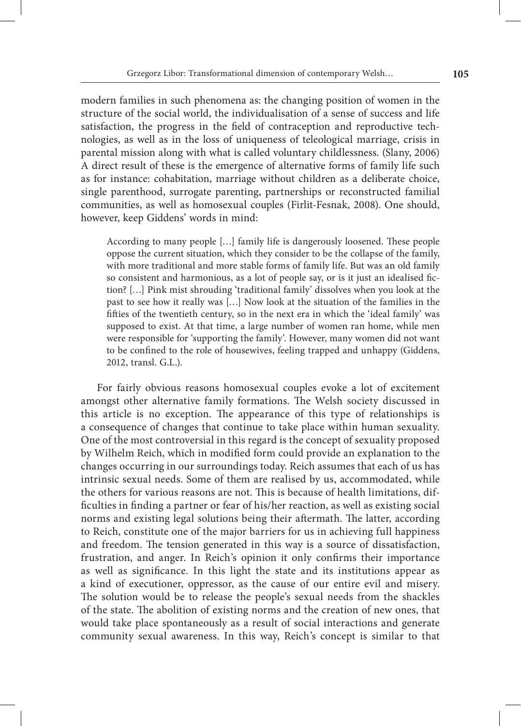modern families in such phenomena as: the changing position of women in the structure of the social world, the individualisation of a sense of success and life satisfaction, the progress in the field of contraception and reproductive technologies, as well as in the loss of uniqueness of teleological marriage, crisis in parental mission along with what is called voluntary childlessness. (Slany, 2006) A direct result of these is the emergence of alternative forms of family life such as for instance: cohabitation, marriage without children as a deliberate choice, single parenthood, surrogate parenting, partnerships or reconstructed familial communities, as well as homosexual couples (Firlit‑Fesnak, 2008). One should, however, keep Giddens' words in mind:

According to many people […] family life is dangerously loosened. These people oppose the current situation, which they consider to be the collapse of the family, with more traditional and more stable forms of family life. But was an old family so consistent and harmonious, as a lot of people say, or is it just an idealised fiction? […] Pink mist shrouding 'traditional family' dissolves when you look at the past to see how it really was […] Now look at the situation of the families in the fifties of the twentieth century, so in the next era in which the 'ideal family' was supposed to exist. At that time, a large number of women ran home, while men were responsible for 'supporting the family'. However, many women did not want to be confined to the role of housewives, feeling trapped and unhappy (Giddens, 2012, transl. G.L.).

For fairly obvious reasons homosexual couples evoke a lot of excitement amongst other alternative family formations. The Welsh society discussed in this article is no exception. The appearance of this type of relationships is a consequence of changes that continue to take place within human sexuality. One of the most controversial in this regard is the concept of sexuality proposed by Wilhelm Reich, which in modified form could provide an explanation to the changes occurring in our surroundings today. Reich assumes that each of us has intrinsic sexual needs. Some of them are realised by us, accommodated, while the others for various reasons are not. This is because of health limitations, dif‑ ficulties in finding a partner or fear of his/her reaction, as well as existing social norms and existing legal solutions being their aftermath. The latter, according to Reich, constitute one of the major barriers for us in achieving full happiness and freedom. The tension generated in this way is a source of dissatisfaction, frustration, and anger. In Reich's opinion it only confirms their importance as well as significance. In this light the state and its institutions appear as a kind of executioner, oppressor, as the cause of our entire evil and misery. The solution would be to release the people's sexual needs from the shackles of the state. The abolition of existing norms and the creation of new ones, that would take place spontaneously as a result of social interactions and generate community sexual awareness. In this way, Reich's concept is similar to that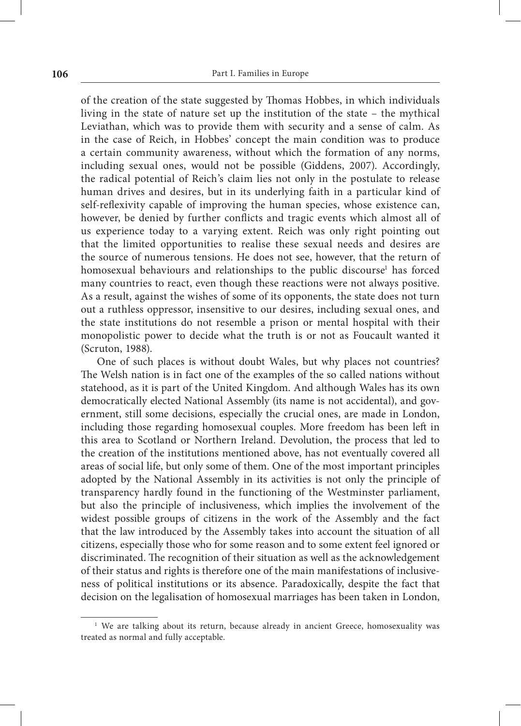of the creation of the state suggested by Thomas Hobbes, in which individuals living in the state of nature set up the institution of the state – the mythical Leviathan, which was to provide them with security and a sense of calm. As in the case of Reich, in Hobbes' concept the main condition was to produce a certain community awareness, without which the formation of any norms, including sexual ones, would not be possible (Giddens, 2007). Accordingly, the radical potential of Reich's claim lies not only in the postulate to release human drives and desires, but in its underlying faith in a particular kind of self-reflexivity capable of improving the human species, whose existence can, however, be denied by further conflicts and tragic events which almost all of us experience today to a varying extent. Reich was only right pointing out that the limited opportunities to realise these sexual needs and desires are the source of numerous tensions. He does not see, however, that the return of homosexual behaviours and relationships to the public discourse<sup>1</sup> has forced many countries to react, even though these reactions were not always positive. As a result, against the wishes of some of its opponents, the state does not turn out a ruthless oppressor, insensitive to our desires, including sexual ones, and the state institutions do not resemble a prison or mental hospital with their monopolistic power to decide what the truth is or not as Foucault wanted it (Scruton, 1988).

One of such places is without doubt Wales, but why places not countries? The Welsh nation is in fact one of the examples of the so called nations without statehood, as it is part of the United Kingdom. And although Wales has its own democratically elected National Assembly (its name is not accidental), and government, still some decisions, especially the crucial ones, are made in London, including those regarding homosexual couples. More freedom has been left in this area to Scotland or Northern Ireland. Devolution, the process that led to the creation of the institutions mentioned above, has not eventually covered all areas of social life, but only some of them. One of the most important principles adopted by the National Assembly in its activities is not only the principle of transparency hardly found in the functioning of the Westminster parliament, but also the principle of inclusiveness, which implies the involvement of the widest possible groups of citizens in the work of the Assembly and the fact that the law introduced by the Assembly takes into account the situation of all citizens, especially those who for some reason and to some extent feel ignored or discriminated. The recognition of their situation as well as the acknowledgement of their status and rights is therefore one of the main manifestations of inclusive‑ ness of political institutions or its absence. Paradoxically, despite the fact that decision on the legalisation of homosexual marriages has been taken in London,

<sup>&</sup>lt;sup>1</sup> We are talking about its return, because already in ancient Greece, homosexuality was treated as normal and fully acceptable.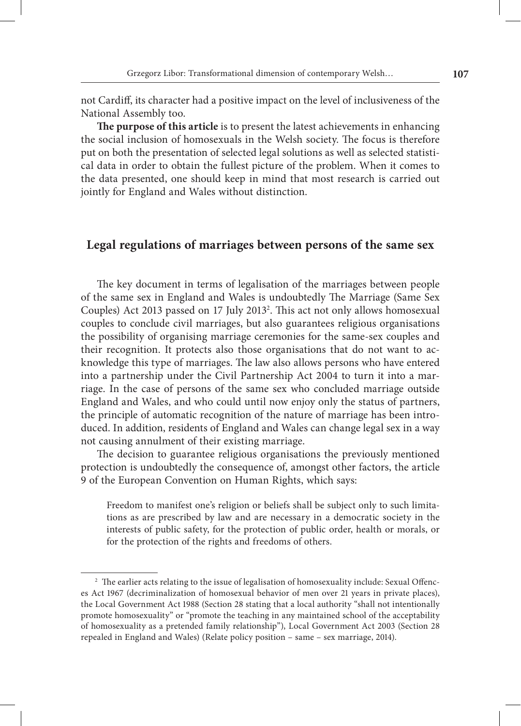not Cardiff, its character had a positive impact on the level of inclusiveness of the National Assembly too.

**The purpose of this article** is to present the latest achievements in enhancing the social inclusion of homosexuals in the Welsh society. The focus is therefore put on both the presentation of selected legal solutions as well as selected statistical data in order to obtain the fullest picture of the problem. When it comes to the data presented, one should keep in mind that most research is carried out jointly for England and Wales without distinction.

# **Legal regulations of marriages between persons of the same sex**

The key document in terms of legalisation of the marriages between people of the same sex in England and Wales is undoubtedly The Marriage (Same Sex Couples) Act 2013 passed on 17 July 2013<sup>2</sup>. This act not only allows homosexual couples to conclude civil marriages, but also guarantees religious organisations the possibility of organising marriage ceremonies for the same‑sex couples and their recognition. It protects also those organisations that do not want to ac‑ knowledge this type of marriages. The law also allows persons who have entered into a partnership under the Civil Partnership Act 2004 to turn it into a mar– riage. In the case of persons of the same sex who concluded marriage outside England and Wales, and who could until now enjoy only the status of partners, the principle of automatic recognition of the nature of marriage has been intro– duced. In addition, residents of England and Wales can change legal sex in a way not causing annulment of their existing marriage.

The decision to guarantee religious organisations the previously mentioned protection is undoubtedly the consequence of, amongst other factors, the article 9 of the European Convention on Human Rights, which says:

Freedom to manifest one's religion or beliefs shall be subject only to such limitations as are prescribed by law and are necessary in a democratic society in the interests of public safety, for the protection of public order, health or morals, or for the protection of the rights and freedoms of others.

<sup>&</sup>lt;sup>2</sup> The earlier acts relating to the issue of legalisation of homosexuality include: Sexual Offences Act 1967 (decriminalization of homosexual behavior of men over 21 years in private places), the Local Government Act 1988 (Section 28 stating that a local authority "shall not intentionally promote homosexuality" or "promote the teaching in any maintained school of the acceptability of homosexuality as a pretended family relationship"), Local Government Act 2003 (Section 28 repealed in England and Wales) (Relate policy position – same – sex marriage, 2014).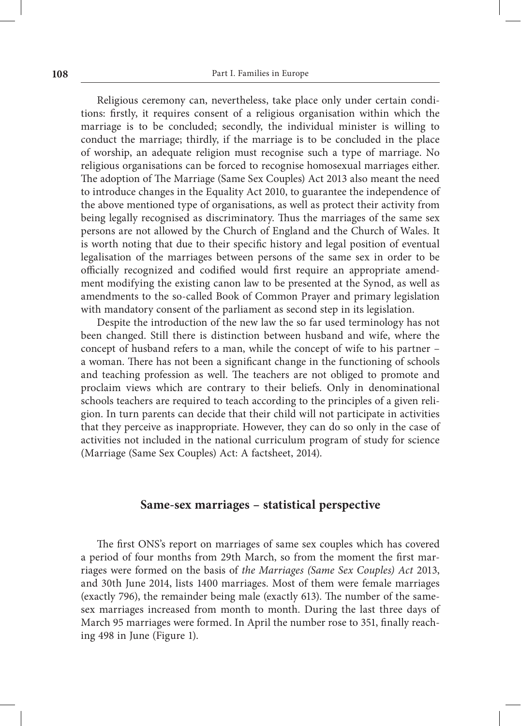Religious ceremony can, nevertheless, take place only under certain conditions: firstly, it requires consent of a religious organisation within which the marriage is to be concluded; secondly, the individual minister is willing to conduct the marriage; thirdly, if the marriage is to be concluded in the place of worship, an adequate religion must recognise such a type of marriage. No religious organisations can be forced to recognise homosexual marriages either. The adoption of The Marriage (Same Sex Couples) Act 2013 also meant the need to introduce changes in the Equality Act 2010, to guarantee the independence of the above mentioned type of organisations, as well as protect their activity from being legally recognised as discriminatory. Thus the marriages of the same sex persons are not allowed by the Church of England and the Church of Wales. It is worth noting that due to their specific history and legal position of eventual legalisation of the marriages between persons of the same sex in order to be officially recognized and codified would first require an appropriate amend‑ ment modifying the existing canon law to be presented at the Synod, as well as amendments to the so-called Book of Common Prayer and primary legislation with mandatory consent of the parliament as second step in its legislation.

Despite the introduction of the new law the so far used terminology has not been changed. Still there is distinction between husband and wife, where the concept of husband refers to a man, while the concept of wife to his partner – a woman. There has not been a significant change in the functioning of schools and teaching profession as well. The teachers are not obliged to promote and proclaim views which are contrary to their beliefs. Only in denominational schools teachers are required to teach according to the principles of a given religion. In turn parents can decide that their child will not participate in activities that they perceive as inappropriate. However, they can do so only in the case of activities not included in the national curriculum program of study for science (Marriage (Same Sex Couples) Act: A factsheet, 2014).

#### **Same‑sex marriages – statistical perspective**

The first ONS's report on marriages of same sex couples which has covered a period of four months from 29th March, so from the moment the first marriages were formed on the basis of *the Marriages (Same Sex Couples) Act* 2013, and 30th June 2014, lists 1400 marriages. Most of them were female marriages (exactly 796), the remainder being male (exactly 613). The number of the samesex marriages increased from month to month. During the last three days of March 95 marriages were formed. In April the number rose to 351, finally reaching 498 in June (Figure 1).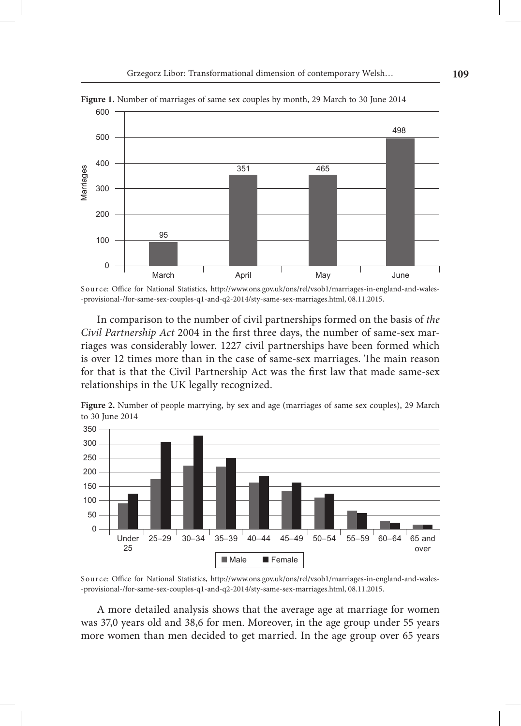

**Figure 1.** Number of marriages of same sex couples by month, 29 March to 30 June 2014

Source: Office for National Statistics, http://www.ons.gov.uk/ons/rel/vsob1/marriages-in-england-and-wales-‑provisional‑/for‑same‑sex‑couples‑q1‑and‑q2‑2014/sty‑same‑sex‑marriages.html, 08.11.2015.

In comparison to the number of civil partnerships formed on the basis of *the Civil Partnership Act 2004* in the first three days, the number of same-sex marriages was considerably lower. 1227 civil partnerships have been formed which is over 12 times more than in the case of same‑sex marriages. The main reason for that is that the Civil Partnership Act was the first law that made same-sex relationships in the UK legally recognized.



**Figure 2.** Number of people marrying, by sex and age (marriages of same sex couples), 29 March to 30 June 2014

Source: Office for National Statistics, http://www.ons.gov.uk/ons/rel/vsob1/marriages-in-england-and-wales-‑provisional‑/for‑same‑sex‑couples‑q1‑and‑q2‑2014/sty‑same‑sex‑marriages.html, 08.11.2015.

A more detailed analysis shows that the average age at marriage for women was 37,0 years old and 38,6 for men. Moreover, in the age group under 55 years more women than men decided to get married. In the age group over 65 years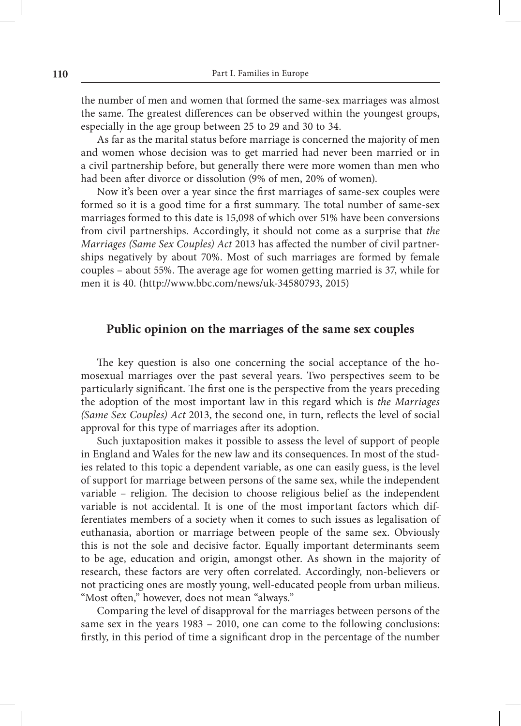the number of men and women that formed the same‑sex marriages was almost the same. The greatest differences can be observed within the youngest groups, especially in the age group between 25 to 29 and 30 to 34.

As far as the marital status before marriage is concerned the majority of men and women whose decision was to get married had never been married or in a civil partnership before, but generally there were more women than men who had been after divorce or dissolution (9% of men, 20% of women).

Now it's been over a year since the first marriages of same-sex couples were formed so it is a good time for a first summary. The total number of same‑sex marriages formed to this date is 15,098 of which over 51% have been conversions from civil partnerships. Accordingly, it should not come as a surprise that *the Marriages (Same Sex Couples) Act 2013 has affected the number of civil partner–* ships negatively by about 70%. Most of such marriages are formed by female couples – about 55%. The average age for women getting married is 37, while for men it is 40. (http://www.bbc.com/news/uk‑34580793, 2015)

### **Public opinion on the marriages of the same sex couples**

The key question is also one concerning the social acceptance of the homosexual marriages over the past several years. Two perspectives seem to be particularly significant. The first one is the perspective from the years preceding the adoption of the most important law in this regard which is *the Marriages (Same Sex Couples) Act* 2013, the second one, in turn, reflects the level of social approval for this type of marriages after its adoption.

Such juxtaposition makes it possible to assess the level of support of people in England and Wales for the new law and its consequences. In most of the studies related to this topic a dependent variable, as one can easily guess, is the level of support for marriage between persons of the same sex, while the independent variable – religion. The decision to choose religious belief as the independent variable is not accidental. It is one of the most important factors which differentiates members of a society when it comes to such issues as legalisation of euthanasia, abortion or marriage between people of the same sex. Obviously this is not the sole and decisive factor. Equally important determinants seem to be age, education and origin, amongst other. As shown in the majority of research, these factors are very often correlated. Accordingly, non-believers or not practicing ones are mostly young, well‑educated people from urban milieus. "Most often," however, does not mean "always."

Comparing the level of disapproval for the marriages between persons of the same sex in the years 1983 – 2010, one can come to the following conclusions: firstly, in this period of time a significant drop in the percentage of the number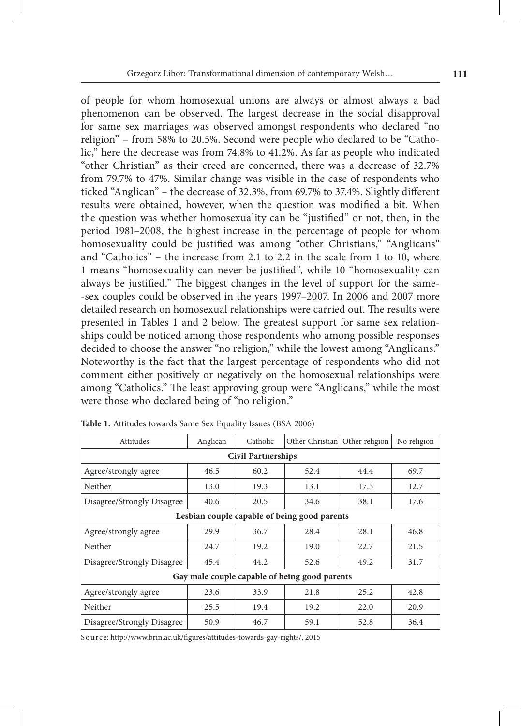of people for whom homosexual unions are always or almost always a bad phenomenon can be observed. The largest decrease in the social disapproval for same sex marriages was observed amongst respondents who declared "no religion" – from 58% to 20.5%. Second were people who declared to be "Catholic," here the decrease was from 74.8% to 41.2%. As far as people who indicated "other Christian" as their creed are concerned, there was a decrease of 32.7% from 79.7% to 47%. Similar change was visible in the case of respondents who ticked "Anglican" – the decrease of 32.3%, from 69.7% to 37.4%. Slightly different results were obtained, however, when the question was modified a bit. When the question was whether homosexuality can be "justified" or not, then, in the period 1981–2008, the highest increase in the percentage of people for whom homosexuality could be justified was among "other Christians," "Anglicans" and "Catholics" – the increase from 2.1 to 2.2 in the scale from 1 to 10, where 1 means "homosexuality can never be justified", while 10 "homosexuality can always be justified." The biggest changes in the level of support for the same-‑sex couples could be observed in the years 1997–2007. In 2006 and 2007 more detailed research on homosexual relationships were carried out. The results were presented in Tables 1 and 2 below. The greatest support for same sex relationships could be noticed among those respondents who among possible responses decided to choose the answer "no religion," while the lowest among "Anglicans." Noteworthy is the fact that the largest percentage of respondents who did not comment either positively or negatively on the homosexual relationships were among "Catholics." The least approving group were "Anglicans," while the most were those who declared being of "no religion."

| Attitudes                                     | Anglican | Catholic | Other Christian | Other religion | No religion |  |  |  |  |
|-----------------------------------------------|----------|----------|-----------------|----------------|-------------|--|--|--|--|
| <b>Civil Partnerships</b>                     |          |          |                 |                |             |  |  |  |  |
| Agree/strongly agree                          | 46.5     | 60.2     | 52.4            | 44.4           | 69.7        |  |  |  |  |
| Neither                                       | 13.0     | 19.3     | 13.1            | 17.5           | 12.7        |  |  |  |  |
| Disagree/Strongly Disagree                    | 40.6     | 20.5     | 34.6            | 38.1           | 17.6        |  |  |  |  |
| Lesbian couple capable of being good parents  |          |          |                 |                |             |  |  |  |  |
| Agree/strongly agree                          | 29.9     | 36.7     | 28.4            | 28.1           | 46.8        |  |  |  |  |
| Neither                                       | 24.7     | 19.2     | 19.0            | 22.7           | 21.5        |  |  |  |  |
| Disagree/Strongly Disagree                    | 45.4     | 44.2     | 52.6            | 49.2           | 31.7        |  |  |  |  |
| Gay male couple capable of being good parents |          |          |                 |                |             |  |  |  |  |
| Agree/strongly agree                          | 23.6     | 33.9     | 21.8            | 25.2           | 42.8        |  |  |  |  |
| Neither                                       | 25.5     | 19.4     | 19.2            | 22.0           | 20.9        |  |  |  |  |
| Disagree/Strongly Disagree                    | 50.9     | 46.7     | 59.1            | 52.8           | 36.4        |  |  |  |  |

**Table 1.** Attitudes towards Same Sex Equality Issues (BSA 2006)

S ource: http://www.brin.ac.uk/figures/attitudes‑towards‑gay‑rights/, 2015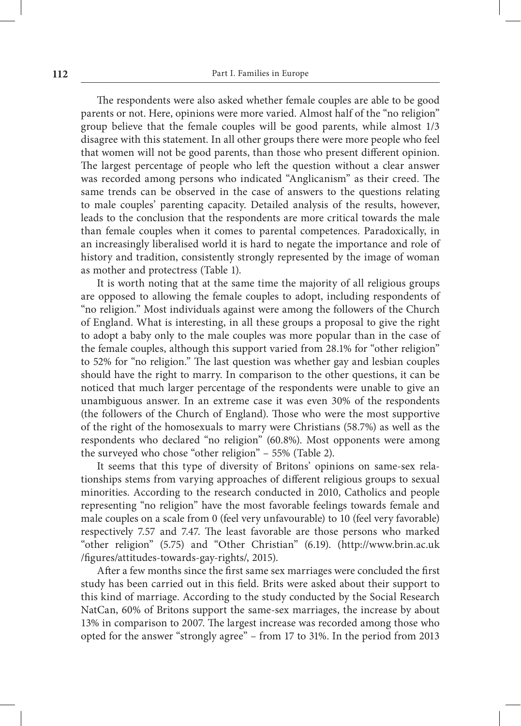The respondents were also asked whether female couples are able to be good parents or not. Here, opinions were more varied. Almost half of the "no religion" group believe that the female couples will be good parents, while almost 1/3 disagree with this statement. In all other groups there were more people who feel that women will not be good parents, than those who present different opinion. The largest percentage of people who left the question without a clear answer was recorded among persons who indicated "Anglicanism" as their creed. The same trends can be observed in the case of answers to the questions relating to male couples' parenting capacity. Detailed analysis of the results, however, leads to the conclusion that the respondents are more critical towards the male than female couples when it comes to parental competences. Paradoxically, in an increasingly liberalised world it is hard to negate the importance and role of history and tradition, consistently strongly represented by the image of woman as mother and protectress (Table 1).

It is worth noting that at the same time the majority of all religious groups are opposed to allowing the female couples to adopt, including respondents of "no religion." Most individuals against were among the followers of the Church of England. What is interesting, in all these groups a proposal to give the right to adopt a baby only to the male couples was more popular than in the case of the female couples, although this support varied from 28.1% for "other religion" to 52% for "no religion." The last question was whether gay and lesbian couples should have the right to marry. In comparison to the other questions, it can be noticed that much larger percentage of the respondents were unable to give an unambiguous answer. In an extreme case it was even 30% of the respondents (the followers of the Church of England). Those who were the most supportive of the right of the homosexuals to marry were Christians (58.7%) as well as the respondents who declared "no religion" (60.8%). Most opponents were among the surveyed who chose "other religion" – 55% (Table 2).

It seems that this type of diversity of Britons' opinions on same-sex relationships stems from varying approaches of different religious groups to sexual minorities. According to the research conducted in 2010, Catholics and people representing "no religion" have the most favorable feelings towards female and male couples on a scale from 0 (feel very unfavourable) to 10 (feel very favorable) respectively 7.57 and 7.47. The least favorable are those persons who marked "other religion" (5.75) and "Other Christian" (6.19). (http://www.brin.ac.uk /figures/attitudes‑towards‑gay‑rights/, 2015).

After a few months since the first same sex marriages were concluded the first study has been carried out in this field. Brits were asked about their support to this kind of marriage. According to the study conducted by the Social Research NatCan, 60% of Britons support the same-sex marriages, the increase by about 13% in comparison to 2007. The largest increase was recorded among those who opted for the answer "strongly agree" – from 17 to 31%. In the period from 2013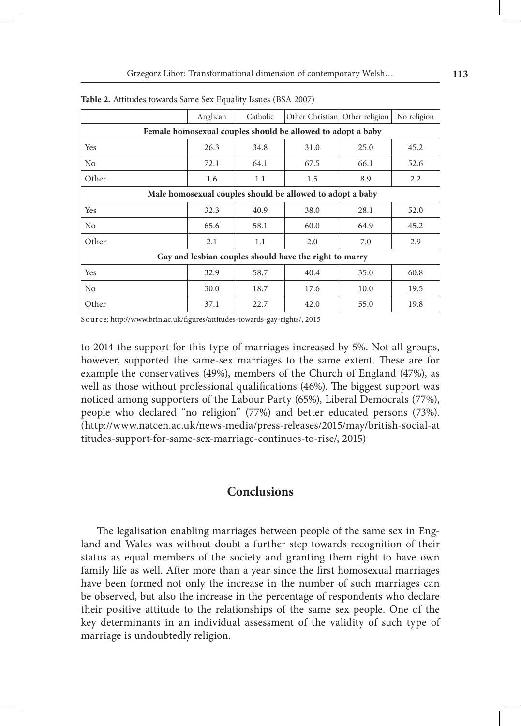|                                                             | Anglican | Catholic | Other Christian | Other religion | No religion |  |  |  |
|-------------------------------------------------------------|----------|----------|-----------------|----------------|-------------|--|--|--|
| Female homosexual couples should be allowed to adopt a baby |          |          |                 |                |             |  |  |  |
| Yes                                                         | 26.3     | 34.8     | 31.0            | 25.0           | 45.2        |  |  |  |
| No                                                          | 72.1     | 64.1     | 67.5            | 66.1           | 52.6        |  |  |  |
| Other                                                       | 1.6      | 1.1      | 1.5             | 8.9            | 2.2         |  |  |  |
| Male homosexual couples should be allowed to adopt a baby   |          |          |                 |                |             |  |  |  |
| Yes                                                         | 32.3     | 40.9     | 38.0            | 28.1           | 52.0        |  |  |  |
| N <sub>0</sub>                                              | 65.6     | 58.1     | 60.0            | 64.9           | 45.2        |  |  |  |
| Other                                                       | 2.1      | 1.1      | 2.0             | 7.0            | 2.9         |  |  |  |
| Gay and lesbian couples should have the right to marry      |          |          |                 |                |             |  |  |  |
| Yes                                                         | 32.9     | 58.7     | 40.4            | 35.0           | 60.8        |  |  |  |
| N <sub>0</sub>                                              | 30.0     | 18.7     | 17.6            | 10.0           | 19.5        |  |  |  |
| Other                                                       | 37.1     | 22.7     | 42.0            | 55.0           | 19.8        |  |  |  |

**Table 2.** Attitudes towards Same Sex Equality Issues (BSA 2007)

S ource: http://www.brin.ac.uk/figures/attitudes‑towards‑gay‑rights/, 2015

to 2014 the support for this type of marriages increased by 5%. Not all groups, however, supported the same‑sex marriages to the same extent. These are for example the conservatives (49%), members of the Church of England (47%), as well as those without professional qualifications (46%). The biggest support was noticed among supporters of the Labour Party (65%), Liberal Democrats (77%), people who declared "no religion" (77%) and better educated persons (73%). (http://www.natcen.ac.uk/news‑media/press‑releases/2015/may/british‑social‑at titudes‑support‑for‑same‑sex‑marriage‑continues‑to‑rise/, 2015)

# **Conclusions**

The legalisation enabling marriages between people of the same sex in England and Wales was without doubt a further step towards recognition of their status as equal members of the society and granting them right to have own family life as well. After more than a year since the first homosexual marriages have been formed not only the increase in the number of such marriages can be observed, but also the increase in the percentage of respondents who declare their positive attitude to the relationships of the same sex people. One of the key determinants in an individual assessment of the validity of such type of marriage is undoubtedly religion.